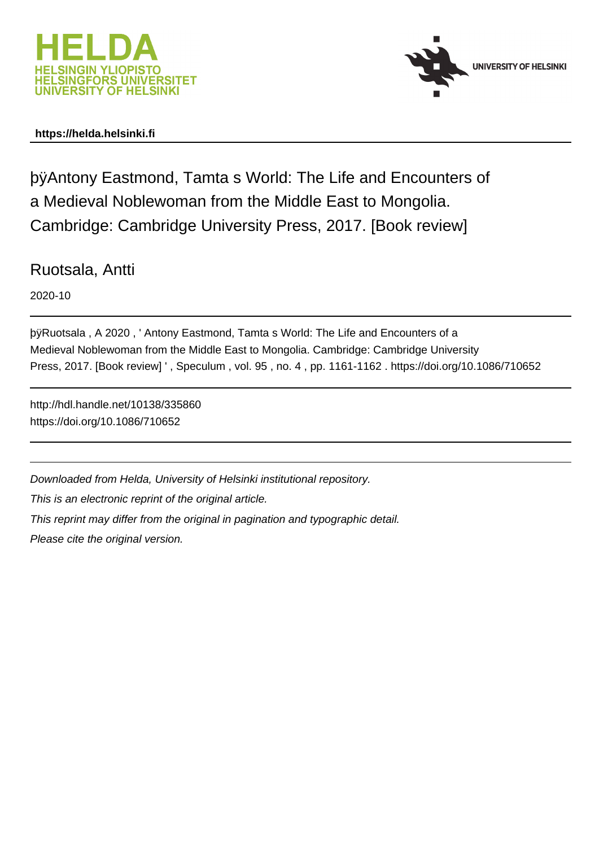



## **https://helda.helsinki.fi**

þÿAntony Eastmond, Tamta s World: The Life and a Medieval Noblewoman from the Middle East to Mongolia. Cambridge: Cambridge University Press, 2017. [Book review]

Ruotsala, Antti

2020-10

þÿRuotsala, A 2020, 'Antony Eastmond, Tamta s World: The Life and E Medieval Noblewoman from the Middle East to Mongolia. Cambridge: Cambridge University Press, 2017. [Book review] ' , Speculum , vol. 95 , no. 4 , pp. 1161-1162 . https://doi.org/10.1086/710652

http://hdl.handle.net/10138/335860 https://doi.org/10.1086/710652

Downloaded from Helda, University of Helsinki institutional repository.

This is an electronic reprint of the original article.

This reprint may differ from the original in pagination and typographic detail.

Please cite the original version.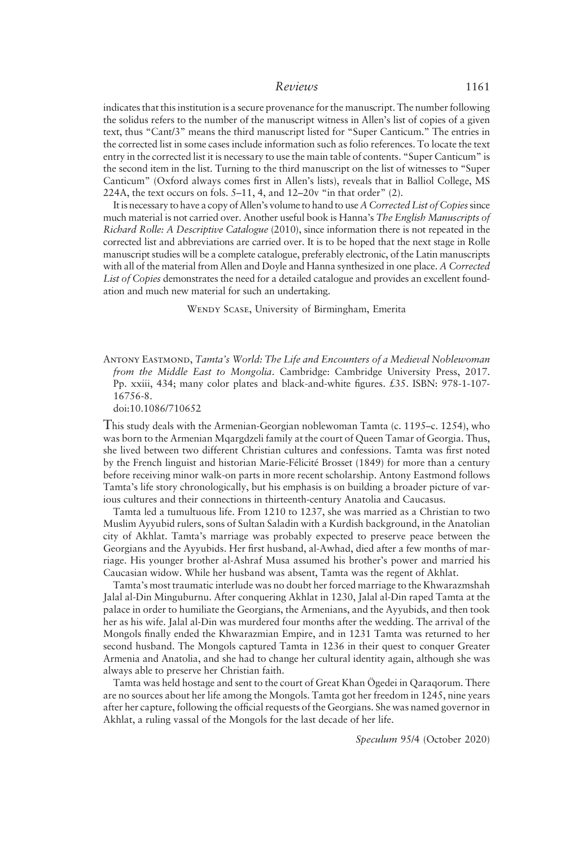## Reviews 1161

indicates that this institution is a secure provenance for the manuscript. The number following the solidus refers to the number of the manuscript witness in Allen's list of copies of a given text, thus "Cant/3" means the third manuscript listed for "Super Canticum." The entries in the corrected list in some cases include information such as folio references. To locate the text entry in the corrected list it is necessary to use the main table of contents. "Super Canticum" is the second item in the list. Turning to the third manuscript on the list of witnesses to "Super Canticum" (Oxford always comes first in Allen's lists), reveals that in Balliol College, MS 224A, the text occurs on fols. 5–11, 4, and 12–20v "in that order" (2).

It is necessary to have a copy of Allen's volume to hand to use A Corrected List of Copiessince much material is not carried over. Another useful book is Hanna's The English Manuscripts of Richard Rolle: A Descriptive Catalogue (2010), since information there is not repeated in the corrected list and abbreviations are carried over. It is to be hoped that the next stage in Rolle manuscript studies will be a complete catalogue, preferably electronic, of the Latin manuscripts with all of the material from Allen and Doyle and Hanna synthesized in one place. A Corrected List of Copies demonstrates the need for a detailed catalogue and provides an excellent foundation and much new material for such an undertaking.

Wendy Scase, University of Birmingham, Emerita

ANTONY EASTMOND, Tamta's World: The Life and Encounters of a Medieval Noblewoman from the Middle East to Mongolia. Cambridge: Cambridge University Press, 2017. Pp. xxiii, 434; many color plates and black-and-white figures. £35. ISBN: 978-1-107- 16756-8.

doi:10.1086/710652

This study deals with the Armenian-Georgian noblewoman Tamta (c. 1195–c. 1254), who was born to the Armenian Mqargdzeli family at the court of Queen Tamar of Georgia. Thus, she lived between two different Christian cultures and confessions. Tamta was first noted by the French linguist and historian Marie-Félicité Brosset (1849) for more than a century before receiving minor walk-on parts in more recent scholarship. Antony Eastmond follows Tamta's life story chronologically, but his emphasis is on building a broader picture of various cultures and their connections in thirteenth-century Anatolia and Caucasus.

Tamta led a tumultuous life. From 1210 to 1237, she was married as a Christian to two Muslim Ayyubid rulers, sons of Sultan Saladin with a Kurdish background, in the Anatolian city of Akhlat. Tamta's marriage was probably expected to preserve peace between the Georgians and the Ayyubids. Her first husband, al-Awhad, died after a few months of marriage. His younger brother al-Ashraf Musa assumed his brother's power and married his Caucasian widow. While her husband was absent, Tamta was the regent of Akhlat.

Tamta's most traumatic interlude was no doubt her forced marriage to the Khwarazmshah Jalal al-Din Minguburnu. After conquering Akhlat in 1230, Jalal al-Din raped Tamta at the palace in order to humiliate the Georgians, the Armenians, and the Ayyubids, and then took her as his wife. Jalal al-Din was murdered four months after the wedding. The arrival of the Mongols finally ended the Khwarazmian Empire, and in 1231 Tamta was returned to her second husband. The Mongols captured Tamta in 1236 in their quest to conquer Greater Armenia and Anatolia, and she had to change her cultural identity again, although she was always able to preserve her Christian faith.

Tamta was held hostage and sent to the court of Great Khan Ögedei in Qaraqorum. There are no sources about her life among the Mongols. Tamta got her freedom in 1245, nine years after her capture, following the official requests of the Georgians. She was named governor in Akhlat, a ruling vassal of the Mongols for the last decade of her life.

Speculum 95/4 (October 2020)